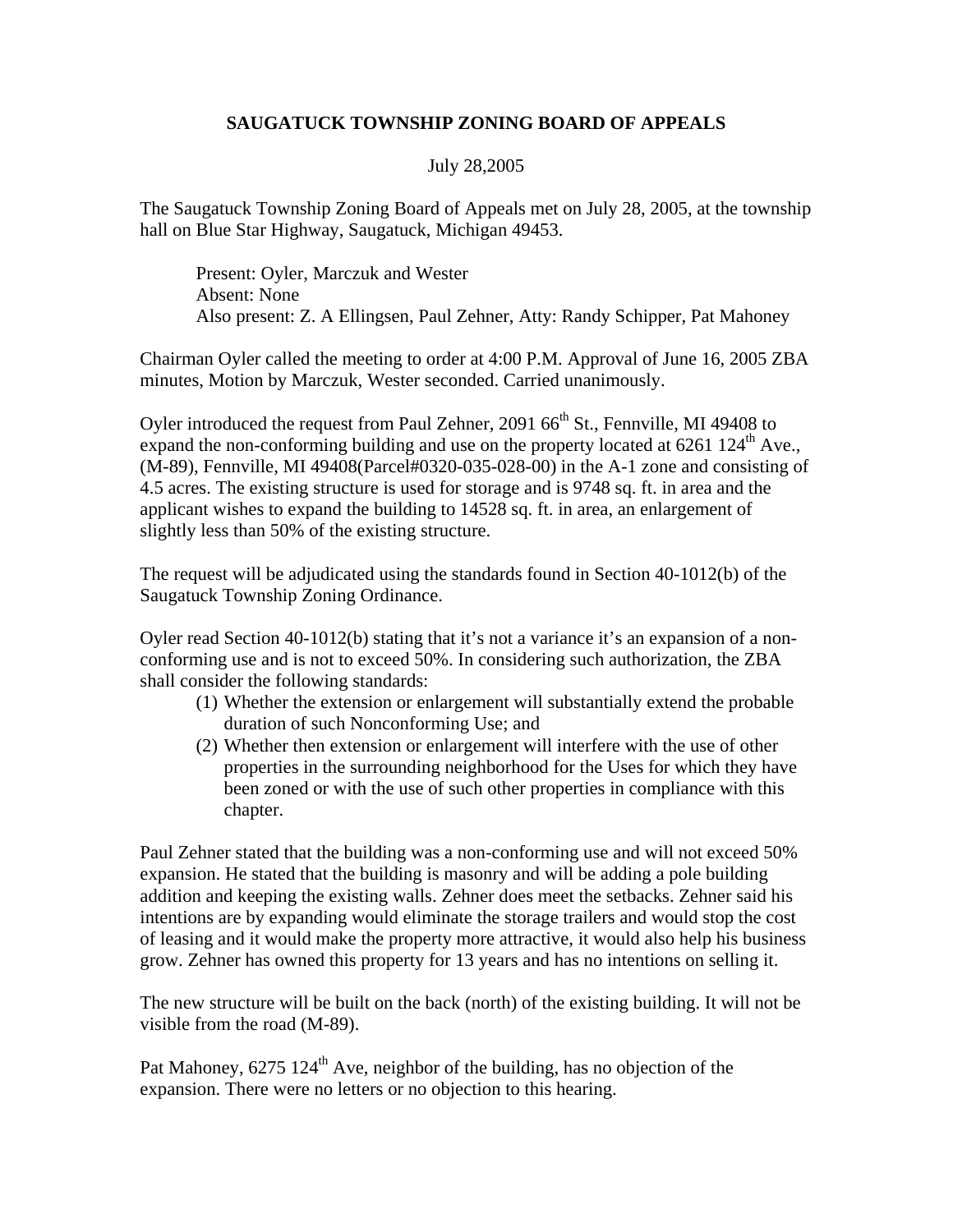## **SAUGATUCK TOWNSHIP ZONING BOARD OF APPEALS**

## July 28,2005

The Saugatuck Township Zoning Board of Appeals met on July 28, 2005, at the township hall on Blue Star Highway, Saugatuck, Michigan 49453.

 Present: Oyler, Marczuk and Wester Absent: None Also present: Z. A Ellingsen, Paul Zehner, Atty: Randy Schipper, Pat Mahoney

Chairman Oyler called the meeting to order at 4:00 P.M. Approval of June 16, 2005 ZBA minutes, Motion by Marczuk, Wester seconded. Carried unanimously.

Oyler introduced the request from Paul Zehner, 2091 66<sup>th</sup> St., Fennville, MI 49408 to expand the non-conforming building and use on the property located at  $6261 124<sup>th</sup>$  Ave., (M-89), Fennville, MI 49408(Parcel#0320-035-028-00) in the A-1 zone and consisting of 4.5 acres. The existing structure is used for storage and is 9748 sq. ft. in area and the applicant wishes to expand the building to 14528 sq. ft. in area, an enlargement of slightly less than 50% of the existing structure.

The request will be adjudicated using the standards found in Section 40-1012(b) of the Saugatuck Township Zoning Ordinance.

Oyler read Section 40-1012(b) stating that it's not a variance it's an expansion of a nonconforming use and is not to exceed 50%. In considering such authorization, the ZBA shall consider the following standards:

- (1) Whether the extension or enlargement will substantially extend the probable duration of such Nonconforming Use; and
- (2) Whether then extension or enlargement will interfere with the use of other properties in the surrounding neighborhood for the Uses for which they have been zoned or with the use of such other properties in compliance with this chapter.

Paul Zehner stated that the building was a non-conforming use and will not exceed 50% expansion. He stated that the building is masonry and will be adding a pole building addition and keeping the existing walls. Zehner does meet the setbacks. Zehner said his intentions are by expanding would eliminate the storage trailers and would stop the cost of leasing and it would make the property more attractive, it would also help his business grow. Zehner has owned this property for 13 years and has no intentions on selling it.

The new structure will be built on the back (north) of the existing building. It will not be visible from the road (M-89).

Pat Mahoney,  $6275 \frac{124^{\text{th}}}{\text{Ave}}$ , neighbor of the building, has no objection of the expansion. There were no letters or no objection to this hearing.